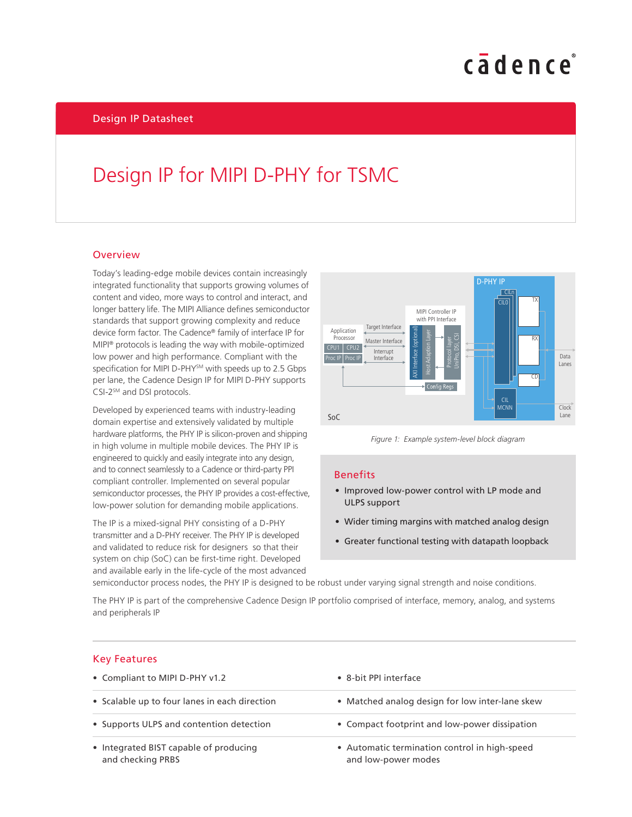# cadence

### Design IP for MIPI D-PHY for TSMC

#### **Overview**

Today's leading-edge mobile devices contain increasingly integrated functionality that supports growing volumes of content and video, more ways to control and interact, and longer battery life. The MIPI Alliance defines semiconductor standards that support growing complexity and reduce device form factor. The Cadence® family of interface IP for MIPI® protocols is leading the way with mobile-optimized low power and high performance. Compliant with the specification for MIPI D-PHY<sup>SM</sup> with speeds up to 2.5 Gbps per lane, the Cadence Design IP for MIPI D-PHY supports CSI-2<sup>sM</sup> and DSI protocols.

Developed by experienced teams with industry-leading domain expertise and extensively validated by multiple hardware platforms, the PHY IP is silicon-proven and shipping in high volume in multiple mobile devices. The PHY IP is engineered to quickly and easily integrate into any design, and to connect seamlessly to a Cadence or third-party PPI compliant controller. Implemented on several popular semiconductor processes, the PHY IP provides a cost-effective, low-power solution for demanding mobile applications.

The IP is a mixed-signal PHY consisting of a D-PHY transmitter and a D-PHY receiver. The PHY IP is developed and validated to reduce risk for designers so that their system on chip (SoC) can be first-time right. Developed and available early in the life-cycle of the most advanced





#### Benefits

- Improved low-power control with LP mode and ULPS support
- Wider timing margins with matched analog design
- Greater functional testing with datapath loopback

semiconductor process nodes, the PHY IP is designed to be robust under varying signal strength and noise conditions.

The PHY IP is part of the comprehensive Cadence Design IP portfolio comprised of interface, memory, analog, and systems and peripherals IP

#### Key Features

| • Compliant to MIPI D-PHY v1.2                              | • 8-bit PPI interface                                                |  |
|-------------------------------------------------------------|----------------------------------------------------------------------|--|
| • Scalable up to four lanes in each direction               | • Matched analog design for low inter-lane skew                      |  |
| • Supports ULPS and contention detection                    | • Compact footprint and low-power dissipation                        |  |
| • Integrated BIST capable of producing<br>and checking PRBS | • Automatic termination control in high-speed<br>and low-power modes |  |